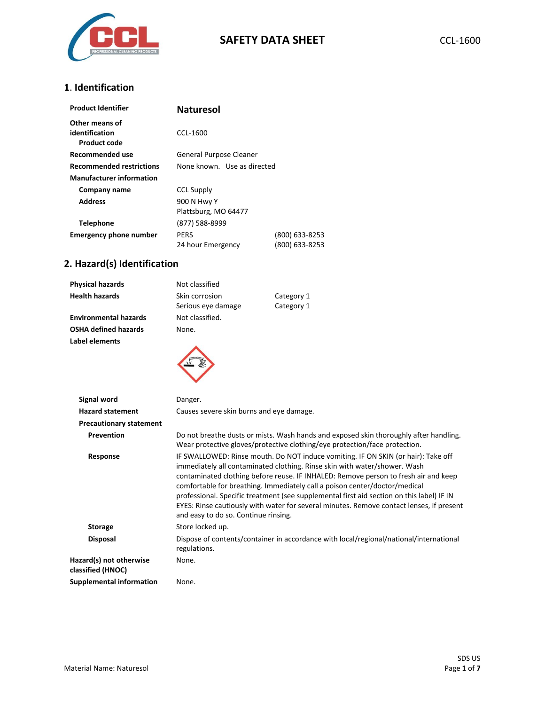

### **1**. **Identification**

| <b>Product Identifier</b>                               | <b>Naturesol</b>                    |                                  |
|---------------------------------------------------------|-------------------------------------|----------------------------------|
| Other means of<br>identification<br><b>Product code</b> | CCL-1600                            |                                  |
| Recommended use                                         | General Purpose Cleaner             |                                  |
| <b>Recommended restrictions</b>                         | None known. Use as directed         |                                  |
| <b>Manufacturer information</b>                         |                                     |                                  |
| Company name                                            | <b>CCL Supply</b>                   |                                  |
| <b>Address</b>                                          | 900 N Hwy Y<br>Plattsburg, MO 64477 |                                  |
| <b>Telephone</b>                                        | (877) 588-8999                      |                                  |
| <b>Emergency phone number</b>                           | <b>PERS</b><br>24 hour Emergency    | (800) 633-8253<br>(800) 633-8253 |

# **2. Hazard(s) Identification**

| <b>Physical hazards</b>      | Not classified                       |                          |
|------------------------------|--------------------------------------|--------------------------|
| <b>Health hazards</b>        | Skin corrosion<br>Serious eye damage | Category 1<br>Category 1 |
| <b>Environmental hazards</b> | Not classified.                      |                          |
| <b>OSHA defined hazards</b>  | None.                                |                          |
| Label elements               |                                      |                          |



| Signal word                                  | Danger.                                                                                                                                                                                                                                                                                                                                                                                                                                                                                                                                                              |
|----------------------------------------------|----------------------------------------------------------------------------------------------------------------------------------------------------------------------------------------------------------------------------------------------------------------------------------------------------------------------------------------------------------------------------------------------------------------------------------------------------------------------------------------------------------------------------------------------------------------------|
| <b>Hazard statement</b>                      | Causes severe skin burns and eye damage.                                                                                                                                                                                                                                                                                                                                                                                                                                                                                                                             |
| <b>Precautionary statement</b>               |                                                                                                                                                                                                                                                                                                                                                                                                                                                                                                                                                                      |
| <b>Prevention</b>                            | Do not breathe dusts or mists. Wash hands and exposed skin thoroughly after handling.<br>Wear protective gloves/protective clothing/eye protection/face protection.                                                                                                                                                                                                                                                                                                                                                                                                  |
| Response                                     | IF SWALLOWED: Rinse mouth. Do NOT induce vomiting. IF ON SKIN (or hair): Take off<br>immediately all contaminated clothing. Rinse skin with water/shower. Wash<br>contaminated clothing before reuse. IF INHALED: Remove person to fresh air and keep<br>comfortable for breathing. Immediately call a poison center/doctor/medical<br>professional. Specific treatment (see supplemental first aid section on this label) IF IN<br>EYES: Rinse cautiously with water for several minutes. Remove contact lenses, if present<br>and easy to do so. Continue rinsing. |
| <b>Storage</b>                               | Store locked up.                                                                                                                                                                                                                                                                                                                                                                                                                                                                                                                                                     |
| <b>Disposal</b>                              | Dispose of contents/container in accordance with local/regional/national/international<br>regulations.                                                                                                                                                                                                                                                                                                                                                                                                                                                               |
| Hazard(s) not otherwise<br>classified (HNOC) | None.                                                                                                                                                                                                                                                                                                                                                                                                                                                                                                                                                                |
| Supplemental information                     | None.                                                                                                                                                                                                                                                                                                                                                                                                                                                                                                                                                                |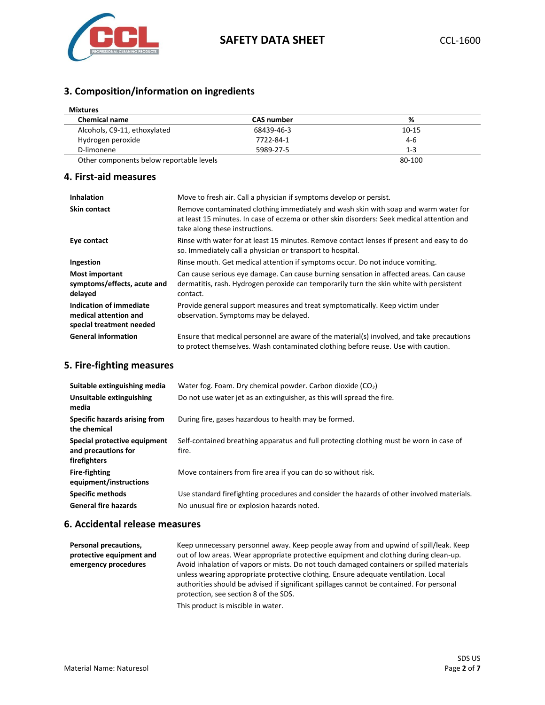

# **3. Composition/information on ingredients**

| <b>Mixtures</b>                          |                   |         |  |
|------------------------------------------|-------------------|---------|--|
| <b>Chemical name</b>                     | <b>CAS number</b> | %       |  |
| Alcohols, C9-11, ethoxylated             | 68439-46-3        | 10-15   |  |
| Hydrogen peroxide                        | 7722-84-1         | 4-6     |  |
| D-limonene                               | 5989-27-5         | $1 - 3$ |  |
| Other components below reportable levels |                   | 80-100  |  |

## **4. First-aid measures**

| <b>Inhalation</b>                                                            | Move to fresh air. Call a physician if symptoms develop or persist.                                                                                                                                                 |
|------------------------------------------------------------------------------|---------------------------------------------------------------------------------------------------------------------------------------------------------------------------------------------------------------------|
| <b>Skin contact</b>                                                          | Remove contaminated clothing immediately and wash skin with soap and warm water for<br>at least 15 minutes. In case of eczema or other skin disorders: Seek medical attention and<br>take along these instructions. |
| Eye contact                                                                  | Rinse with water for at least 15 minutes. Remove contact lenses if present and easy to do<br>so. Immediately call a physician or transport to hospital.                                                             |
| Ingestion                                                                    | Rinse mouth. Get medical attention if symptoms occur. Do not induce vomiting.                                                                                                                                       |
| Most important<br>symptoms/effects, acute and<br>delayed                     | Can cause serious eye damage. Can cause burning sensation in affected areas. Can cause<br>dermatitis, rash. Hydrogen peroxide can temporarily turn the skin white with persistent<br>contact.                       |
| Indication of immediate<br>medical attention and<br>special treatment needed | Provide general support measures and treat symptomatically. Keep victim under<br>observation. Symptoms may be delayed.                                                                                              |
| <b>General information</b>                                                   | Ensure that medical personnel are aware of the material(s) involved, and take precautions<br>to protect themselves. Wash contaminated clothing before reuse. Use with caution.                                      |

## **5. Fire-fighting measures**

| Suitable extinguishing media                                        | Water fog. Foam. Dry chemical powder. Carbon dioxide $(CO2)$                                     |
|---------------------------------------------------------------------|--------------------------------------------------------------------------------------------------|
| Unsuitable extinguishing<br>media                                   | Do not use water jet as an extinguisher, as this will spread the fire.                           |
| Specific hazards arising from<br>the chemical                       | During fire, gases hazardous to health may be formed.                                            |
| Special protective equipment<br>and precautions for<br>firefighters | Self-contained breathing apparatus and full protecting clothing must be worn in case of<br>fire. |
| <b>Fire-fighting</b><br>equipment/instructions                      | Move containers from fire area if you can do so without risk.                                    |
| <b>Specific methods</b>                                             | Use standard firefighting procedures and consider the hazards of other involved materials.       |
| <b>General fire hazards</b>                                         | No unusual fire or explosion hazards noted.                                                      |

## **6. Accidental release measures**

| Personal precautions,<br>protective equipment and<br>emergency procedures | Keep unnecessary personnel away. Keep people away from and upwind of spill/leak. Keep<br>out of low areas. Wear appropriate protective equipment and clothing during clean-up.<br>Avoid inhalation of vapors or mists. Do not touch damaged containers or spilled materials<br>unless wearing appropriate protective clothing. Ensure adequate ventilation. Local<br>authorities should be advised if significant spillages cannot be contained. For personal |
|---------------------------------------------------------------------------|---------------------------------------------------------------------------------------------------------------------------------------------------------------------------------------------------------------------------------------------------------------------------------------------------------------------------------------------------------------------------------------------------------------------------------------------------------------|
|                                                                           | protection, see section 8 of the SDS.                                                                                                                                                                                                                                                                                                                                                                                                                         |
|                                                                           | This product is miscible in water.                                                                                                                                                                                                                                                                                                                                                                                                                            |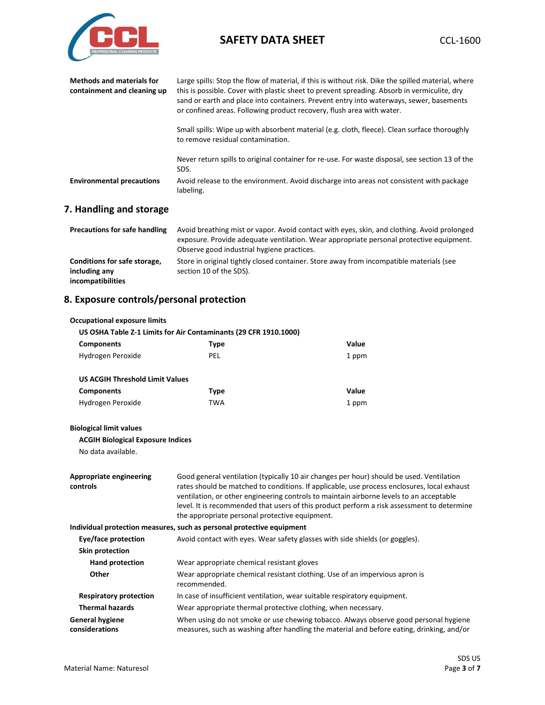

| <b>Methods and materials for</b><br>containment and cleaning up | Large spills: Stop the flow of material, if this is without risk. Dike the spilled material, where<br>this is possible. Cover with plastic sheet to prevent spreading. Absorb in vermiculite, dry<br>sand or earth and place into containers. Prevent entry into waterways, sewer, basements<br>or confined areas. Following product recovery, flush area with water. |  |
|-----------------------------------------------------------------|-----------------------------------------------------------------------------------------------------------------------------------------------------------------------------------------------------------------------------------------------------------------------------------------------------------------------------------------------------------------------|--|
|                                                                 | Small spills: Wipe up with absorbent material (e.g. cloth, fleece). Clean surface thoroughly<br>to remove residual contamination.                                                                                                                                                                                                                                     |  |
|                                                                 | Never return spills to original container for re-use. For waste disposal, see section 13 of the<br>SDS.                                                                                                                                                                                                                                                               |  |
| <b>Environmental precautions</b>                                | Avoid release to the environment. Avoid discharge into areas not consistent with package<br>labeling.                                                                                                                                                                                                                                                                 |  |

# **7. Handling and storage**

| <b>Precautions for safe handling</b>                               | Avoid breathing mist or vapor. Avoid contact with eyes, skin, and clothing. Avoid prolonged<br>exposure. Provide adequate ventilation. Wear appropriate personal protective equipment.<br>Observe good industrial hygiene practices. |
|--------------------------------------------------------------------|--------------------------------------------------------------------------------------------------------------------------------------------------------------------------------------------------------------------------------------|
| Conditions for safe storage,<br>including any<br>incompatibilities | Store in original tightly closed container. Store away from incompatible materials (see<br>section 10 of the SDS).                                                                                                                   |

# **8. Exposure controls/personal protection**

| <b>Occupational exposure limits</b>        |                                                                                                                                                                                                                                                                                                                                                                                                                                    |                                                                           |  |
|--------------------------------------------|------------------------------------------------------------------------------------------------------------------------------------------------------------------------------------------------------------------------------------------------------------------------------------------------------------------------------------------------------------------------------------------------------------------------------------|---------------------------------------------------------------------------|--|
|                                            | US OSHA Table Z-1 Limits for Air Contaminants (29 CFR 1910.1000)                                                                                                                                                                                                                                                                                                                                                                   |                                                                           |  |
| <b>Components</b>                          | <b>Type</b>                                                                                                                                                                                                                                                                                                                                                                                                                        | Value                                                                     |  |
| Hydrogen Peroxide                          | <b>PEL</b>                                                                                                                                                                                                                                                                                                                                                                                                                         | 1 ppm                                                                     |  |
| <b>US ACGIH Threshold Limit Values</b>     |                                                                                                                                                                                                                                                                                                                                                                                                                                    |                                                                           |  |
| <b>Components</b>                          | <b>Type</b>                                                                                                                                                                                                                                                                                                                                                                                                                        | Value                                                                     |  |
| Hydrogen Peroxide                          | <b>TWA</b>                                                                                                                                                                                                                                                                                                                                                                                                                         | 1 ppm                                                                     |  |
| <b>Biological limit values</b>             |                                                                                                                                                                                                                                                                                                                                                                                                                                    |                                                                           |  |
| <b>ACGIH Biological Exposure Indices</b>   |                                                                                                                                                                                                                                                                                                                                                                                                                                    |                                                                           |  |
| No data available.                         |                                                                                                                                                                                                                                                                                                                                                                                                                                    |                                                                           |  |
| <b>Appropriate engineering</b><br>controls | Good general ventilation (typically 10 air changes per hour) should be used. Ventilation<br>rates should be matched to conditions. If applicable, use process enclosures, local exhaust<br>ventilation, or other engineering controls to maintain airborne levels to an acceptable<br>level. It is recommended that users of this product perform a risk assessment to determine<br>the appropriate personal protective equipment. |                                                                           |  |
|                                            | Individual protection measures, such as personal protective equipment                                                                                                                                                                                                                                                                                                                                                              |                                                                           |  |
| Eye/face protection                        | Avoid contact with eyes. Wear safety glasses with side shields (or goggles).                                                                                                                                                                                                                                                                                                                                                       |                                                                           |  |
| Skin protection                            |                                                                                                                                                                                                                                                                                                                                                                                                                                    |                                                                           |  |
| Hand protection                            | Wear appropriate chemical resistant gloves                                                                                                                                                                                                                                                                                                                                                                                         |                                                                           |  |
| Other                                      | Wear appropriate chemical resistant clothing. Use of an impervious apron is<br>recommended.                                                                                                                                                                                                                                                                                                                                        |                                                                           |  |
| <b>Respiratory protection</b>              |                                                                                                                                                                                                                                                                                                                                                                                                                                    | In case of insufficient ventilation, wear suitable respiratory equipment. |  |
| <b>Thermal hazards</b>                     | Wear appropriate thermal protective clothing, when necessary.                                                                                                                                                                                                                                                                                                                                                                      |                                                                           |  |
| <b>General hygiene</b><br>considerations   | When using do not smoke or use chewing tobacco. Always observe good personal hygiene<br>measures, such as washing after handling the material and before eating, drinking, and/or                                                                                                                                                                                                                                                  |                                                                           |  |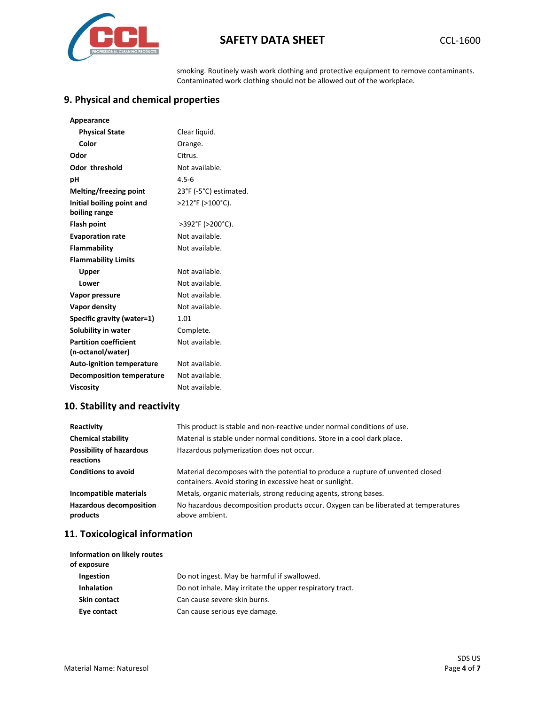

smoking. Routinely wash work clothing and protective equipment to remove contaminants. Contaminated work clothing should not be allowed out of the workplace.

# **9. Physical and chemical properties**

| Appearance                       |                        |
|----------------------------------|------------------------|
| <b>Physical State</b>            | Clear liquid.          |
| Color                            | Orange.                |
| Odor                             | Citrus.                |
| <b>Odor threshold</b>            | Not available.         |
| рH                               | $4.5 - 6$              |
| Melting/freezing point           | 23°F (-5°C) estimated. |
| Initial boiling point and        | >212°F (>100°C).       |
| boiling range                    |                        |
| <b>Flash point</b>               | >392°F (>200°C).       |
| <b>Evaporation rate</b>          | Not available.         |
| <b>Flammability</b>              | Not available.         |
| <b>Flammability Limits</b>       |                        |
| Upper                            | Not available.         |
| Lower                            | Not available.         |
| Vapor pressure                   | Not available.         |
| Vapor density                    | Not available.         |
| Specific gravity (water=1)       | 1.01                   |
| Solubility in water              | Complete.              |
| <b>Partition coefficient</b>     | Not available.         |
| (n-octanol/water)                |                        |
| <b>Auto-ignition temperature</b> | Not available.         |
| <b>Decomposition temperature</b> | Not available.         |
| <b>Viscosity</b>                 | Not available.         |

## **10. Stability and reactivity**

| Reactivity                                   | This product is stable and non-reactive under normal conditions of use.                                                                    |
|----------------------------------------------|--------------------------------------------------------------------------------------------------------------------------------------------|
| <b>Chemical stability</b>                    | Material is stable under normal conditions. Store in a cool dark place.                                                                    |
| <b>Possibility of hazardous</b><br>reactions | Hazardous polymerization does not occur.                                                                                                   |
| <b>Conditions to avoid</b>                   | Material decomposes with the potential to produce a rupture of unvented closed<br>containers. Avoid storing in excessive heat or sunlight. |
| Incompatible materials                       | Metals, organic materials, strong reducing agents, strong bases.                                                                           |
| <b>Hazardous decomposition</b><br>products   | No hazardous decomposition products occur. Oxygen can be liberated at temperatures<br>above ambient.                                       |

## **11. Toxicological information**

| Information on likely routes<br>of exposure |                                                          |
|---------------------------------------------|----------------------------------------------------------|
| <b>Ingestion</b>                            | Do not ingest. May be harmful if swallowed.              |
| <b>Inhalation</b>                           | Do not inhale. May irritate the upper respiratory tract. |
| <b>Skin contact</b>                         | Can cause severe skin burns.                             |
| Eye contact                                 | Can cause serious eye damage.                            |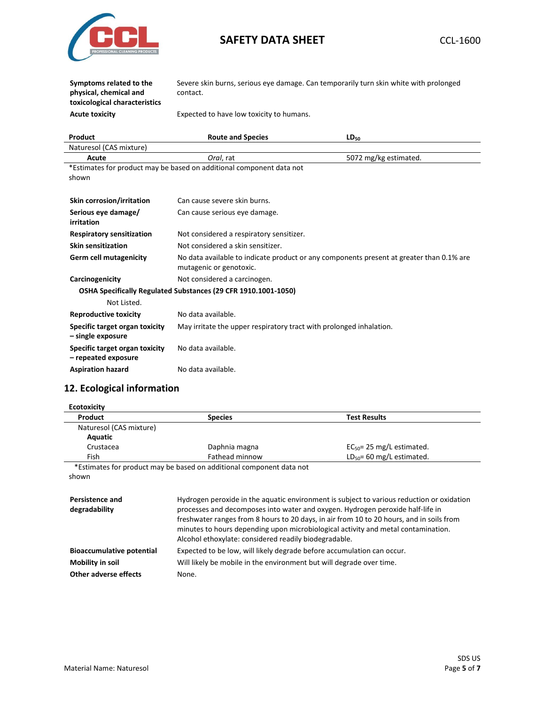

**Symptoms related to the physical, chemical and toxicological characteristics** Severe skin burns, serious eye damage. Can temporarily turn skin white with prolonged contact.

**Acute toxicity** Expected to have low toxicity to humans.

| Product                                               | <b>Route and Species</b>                                                                                            | $LD_{50}$             |
|-------------------------------------------------------|---------------------------------------------------------------------------------------------------------------------|-----------------------|
| Naturesol (CAS mixture)                               |                                                                                                                     |                       |
| Acute                                                 | Oral, rat                                                                                                           | 5072 mg/kg estimated. |
|                                                       | *Estimates for product may be based on additional component data not                                                |                       |
| shown                                                 |                                                                                                                     |                       |
|                                                       |                                                                                                                     |                       |
| Skin corrosion/irritation                             | Can cause severe skin burns.                                                                                        |                       |
| Serious eye damage/<br>irritation                     | Can cause serious eye damage.                                                                                       |                       |
| <b>Respiratory sensitization</b>                      | Not considered a respiratory sensitizer.                                                                            |                       |
| <b>Skin sensitization</b>                             | Not considered a skin sensitizer.                                                                                   |                       |
| <b>Germ cell mutagenicity</b>                         | No data available to indicate product or any components present at greater than 0.1% are<br>mutagenic or genotoxic. |                       |
| Carcinogenicity                                       | Not considered a carcinogen.                                                                                        |                       |
|                                                       | OSHA Specifically Regulated Substances (29 CFR 1910.1001-1050)                                                      |                       |
| Not Listed.                                           |                                                                                                                     |                       |
| <b>Reproductive toxicity</b>                          | No data available.                                                                                                  |                       |
| Specific target organ toxicity<br>- single exposure   | May irritate the upper respiratory tract with prolonged inhalation.                                                 |                       |
| Specific target organ toxicity<br>- repeated exposure | No data available.                                                                                                  |                       |
| <b>Aspiration hazard</b>                              | No data available.                                                                                                  |                       |

# **12. Ecological information**

| <b>Ecotoxicity</b>                      |                                                                                                                                                                                                                                                                                                                                                                                                                       |                                |
|-----------------------------------------|-----------------------------------------------------------------------------------------------------------------------------------------------------------------------------------------------------------------------------------------------------------------------------------------------------------------------------------------------------------------------------------------------------------------------|--------------------------------|
| Product                                 | <b>Species</b>                                                                                                                                                                                                                                                                                                                                                                                                        | <b>Test Results</b>            |
| Naturesol (CAS mixture)                 |                                                                                                                                                                                                                                                                                                                                                                                                                       |                                |
| Aquatic                                 |                                                                                                                                                                                                                                                                                                                                                                                                                       |                                |
| Crustacea                               | Daphnia magna                                                                                                                                                                                                                                                                                                                                                                                                         | $EC_{50}$ = 25 mg/L estimated. |
| Fish                                    | $LD_{50} = 60$ mg/L estimated.<br>Fathead minnow                                                                                                                                                                                                                                                                                                                                                                      |                                |
|                                         | *Estimates for product may be based on additional component data not                                                                                                                                                                                                                                                                                                                                                  |                                |
| shown                                   |                                                                                                                                                                                                                                                                                                                                                                                                                       |                                |
| <b>Persistence and</b><br>degradability | Hydrogen peroxide in the aquatic environment is subject to various reduction or oxidation<br>processes and decomposes into water and oxygen. Hydrogen peroxide half-life in<br>freshwater ranges from 8 hours to 20 days, in air from 10 to 20 hours, and in soils from<br>minutes to hours depending upon microbiological activity and metal contamination.<br>Alcohol ethoxylate: considered readily biodegradable. |                                |
| <b>Bioaccumulative potential</b>        | Expected to be low, will likely degrade before accumulation can occur.                                                                                                                                                                                                                                                                                                                                                |                                |
| Mobility in soil                        | Will likely be mobile in the environment but will degrade over time.                                                                                                                                                                                                                                                                                                                                                  |                                |
| Other adverse effects                   | None.                                                                                                                                                                                                                                                                                                                                                                                                                 |                                |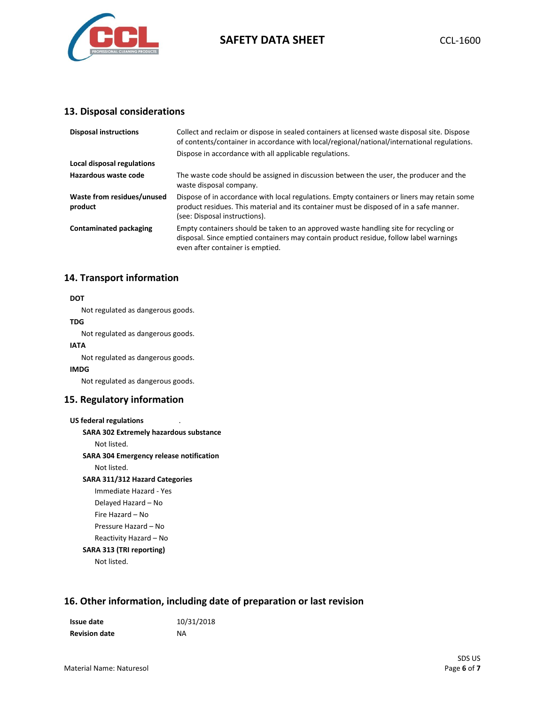

#### **13. Disposal considerations**

| <b>Disposal instructions</b>          | Collect and reclaim or dispose in sealed containers at licensed waste disposal site. Dispose<br>of contents/container in accordance with local/regional/national/international regulations.                             |
|---------------------------------------|-------------------------------------------------------------------------------------------------------------------------------------------------------------------------------------------------------------------------|
|                                       | Dispose in accordance with all applicable regulations.                                                                                                                                                                  |
| Local disposal regulations            |                                                                                                                                                                                                                         |
| Hazardous waste code                  | The waste code should be assigned in discussion between the user, the producer and the<br>waste disposal company.                                                                                                       |
| Waste from residues/unused<br>product | Dispose of in accordance with local regulations. Empty containers or liners may retain some<br>product residues. This material and its container must be disposed of in a safe manner.<br>(see: Disposal instructions). |
| <b>Contaminated packaging</b>         | Empty containers should be taken to an approved waste handling site for recycling or<br>disposal. Since emptied containers may contain product residue, follow label warnings<br>even after container is emptied.       |

#### **14. Transport information**

#### **DOT**

Not regulated as dangerous goods.

#### **TDG** Not regulated as dangerous goods.

**IATA**

Not regulated as dangerous goods.

#### **IMDG**

Not regulated as dangerous goods.

#### **15. Regulatory information**

| <b>US federal regulations</b>                 |  |
|-----------------------------------------------|--|
| <b>SARA 302 Extremely hazardous substance</b> |  |
| Not listed.                                   |  |
| SARA 304 Emergency release notification       |  |
| Not listed.                                   |  |
| <b>SARA 311/312 Hazard Categories</b>         |  |
| Immediate Hazard - Yes                        |  |
| Delayed Hazard – No                           |  |
| Fire Hazard - No                              |  |
| Pressure Hazard - No                          |  |
| Reactivity Hazard - No                        |  |

## **SARA 313 (TRI reporting)**

Not listed.

# **16. Other information, including date of preparation or last revision**

| Issue date           | 10/31/2018 |
|----------------------|------------|
| <b>Revision date</b> | ΝA         |